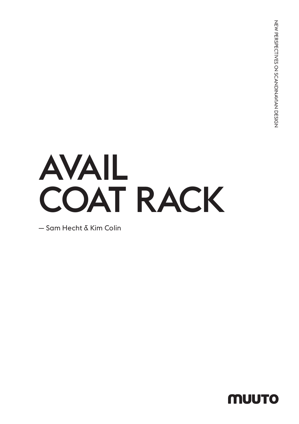# AVAIL COAT RACK

— Sam Hecht & Kim Colin

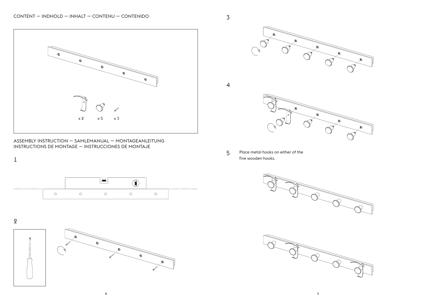

ASSEMBLY INSTRUCTION — SAMLEMANUAL — MONTAGEANLEITUNG INSTRUCTIONS DE MONTAGE — INSTRUCCIONES DE MONTAJE



2

1











5 Place metal hooks on either of the five wooden hooks.



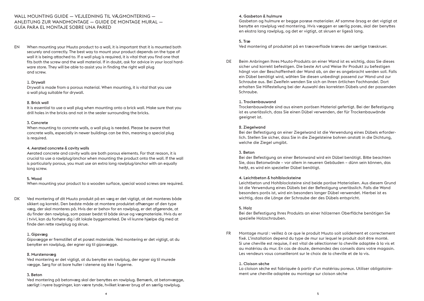## WALL MOUNTING GUIDE — VEJLEDNING TIL VÆGMONTERING — ANLEITUNG ZUR WANDMONTAGE — GUIDE DE MONTAGE MURAL — GUÍA PARA EL MONTAJE SOBRE UNA PARED

EN When mounting your Muuto product to a wall, it is important that it is mounted both securely and correctly. The best way to mount your product depends on the type of wall it is being attached to. If a wall plug is required, it is vital that you find one that fits both the screw and the wall material. If in doubt, ask for advice in your local hardware store. They will be able to assist you in finding the right wall plug and screw.

#### 1. Drywall

Drywall is made from a porous material. When mounting, it is vital that you use a wall plug suitable for drywall.

#### 2. Brick wall

It is essential to use a wall plug when mounting onto a brick wall. Make sure that you drill holes in the bricks and not in the sealer surrounding the bricks.

#### 3. Concrete

When mounting to concrete walls, a wall plug is needed. Please be aware that concrete walls, especially in newer buildings can be thin, meaning a special plug is required.

#### 4. Aerated concrete & cavity walls

Aerated concrete and cavity walls are both porous elements. For that reason, it is crucial to use a rawlplug/anchor when mounting the product onto the wall. If the wall is particularly porous, you must use an extra long rawlplug/anchor with an equally long screw.

#### 5. Wood

When mounting your product to a wooden surface, special wood screws are required.

DK Ved montering af dit Muuto produkt på en væg er det vigtigt, at det monteres både sikkert og korrekt. Den bedste måde at montere produktet afhænger af den type væg, der skal monteres på. Hvis der er behov for en rawlplug, er det afgørende, at du finder den rawlplug, som passer bedst til både skrue og vægmateriale. Hvis du er i tvivl, kan du forhøre dig i dit lokale byggemarked. De vil kunne hjælpe dig med at finde den rette rawlplug og skrue.

#### 1. Gipsvæg

Gipsvægge er fremstillet af et porøst materiale. Ved montering er det vigtigt, at du benytter en rawlplug, der egner sig til gipsvægge.

#### 2. Murstensvæg

Ved montering er det vigtigt, at du benytter en rawlplug, der egner sig til murede vægge. Sørg for at bore huller i stenene og ikke i fugerne.

#### 3. Beton

Ved montering på betonvæg skal der benyttes en rawlplug. Bemærk, at betonvægge, særligt i nyere bygninger, kan være tynde, hvilket kræver brug af en særlig rawlplug.

#### 4. Gasbeton & hulmure

Gasbeton og hulmure er begge porøse materialer. Af samme årsag er det vigtigt at benytte en rawlplug ved montering. Hvis væggen er særlig porøs, skal der benyttes en ekstra lang rawlplug, og det er vigtigt, at skruen er ligeså lang.

# 5. Træ

Ved montering af produktet på en træoverflade kræves der særlige træskruer.

DE Beim Anbringen Ihres Muuto-Produkts an einer Wand ist es wichtig, dass Sie dieses sicher und korrekt befestigen. Die beste Art und Weise Ihr Produkt zu befestigen hängt von der Beschaffenheit der Wand ab, an der es angebracht werden soll. Falls ein Dübel benötigt wird, wählen Sie diesen unbedingt passend zur Wand und zur Schraube aus. Bei Zweifeln wenden Sie sich an Ihren örtlichen Fachhandel. Dort erhalten Sie Hilfestellung bei der Auswahl des korrekten Dübels und der passenden Schraube.

#### 1. Trockenbauwand

Trockenbauwände sind aus einem porösen Material gefertigt. Bei der Befestigung ist es unerlässlich, dass Sie einen Dübel verwenden, der für Trockenbauwände geeignet ist.

#### 2. Ziegelwand

Bei der Befestigung an einer Ziegelwand ist die Verwendung eines Dübels erforderlich. Stellen Sie sicher, dass Sie in die Ziegelsteine bohren anstatt in die Dichtung, welche die Ziegel umgibt.

#### 3. Beton

Bei der Befestigung an einer Betonwand wird ein Dübel benötigt. Bitte beachten Sie, dass Betonwände – vor allem in neueren Gebäuden – dünn sein können, das heißt, es wird ein spezieller Dübel benötigt.

#### 4. Leichtbeton & hohlblocksteine

Leichtbeton und Hohlblocksteine sind beide poröse Materialien. Aus diesem Grund ist die Verwendung eines Dübels bei der Befestigung unerlässlich. Falls die Wand besonders porös ist, wird ein besonders langer Dübel verwendet. Hierbei ist es wichtig, dass die Länge der Schraube der des Dübels entspricht.

#### 5. Holz

Bei der Befestigung Ihres Produkts an einer hölzernen Oberfläche benötigen Sie spezielle Holzschrauben.

FR Montage mural : veillez à ce que le produit Muuto soit solidement et correctement fixé. L'installation depend du type de mur sur lequel le produit doit être monté. Si une cheville est requise, il est vital de sélectionner la cheville adaptée à la vis et au matériau du mur. En cas de doute, demandez des conseils dans votre magasin. Les vendeurs vous conseilleront sur le choix de la cheville et de la vis.

#### 1. Cloison sèche

La cloison sèche est fabriquée à partir d'un matériau poreux. Utiliser obligatoirement une cheville adaptée au montage sur cloison sèche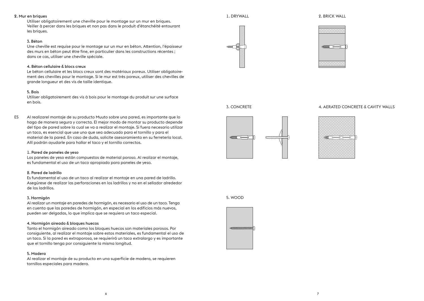#### 2. Mur en briques

Utiliser obligatoirement une cheville pour le montage sur un mur en briques. Veiller à percer dans les briques et non pas dans le produit d'étanchéité entourant les briques.

## 3. Béton

Une cheville est requise pour le montage sur un mur en béton. Attention, l'épaisseur des murs en béton peut être fine, en particulier dans les constructions récentes ; dans ce cas, utiliser une cheville spéciale.

## 4. Béton cellulaire & blocs creux

Le béton cellulaire et les blocs creux sont des matériaux poreux. Utiliser obligatoirement des chevilles pour le montage. Si le mur est très poreux, utiliser des chevilles de grande longueur et des vis de taille identique.

#### 5. Bois

Utiliser obligatoirement des vis à bois pour le montage du produit sur une surface en bois.

ES Al realizarel montaje de su producto Muuto sobre una pared, es importante que lo haga de manera segura y correcta. El mejor modo de montar su producto depende del tipo de pared sobre la cual se va a realizar el montaje. Si fuera necesario utilizar un taco, es esencial que use uno que sea adecuado para el tornillo y para el material de la pared. En caso de duda, solicite asesoramiento en su ferretería local. Allí podrán ayudarle para hallar el taco y el tornillo correctos.

#### 1. Pared de paneles de yeso

Los paneles de yeso están compuestos de material poroso. Al realizar el montaje, es fundamental el uso de un taco apropiado para paneles de yeso.

#### 2. Pared de ladrillo

Es fundamental el uso de un taco al realizar el montaje en una pared de ladrillo. Asegúrese de realizar las perforaciones en los ladrillos y no en el sellador alrededor de los ladrillos.

#### 3. Hormigón

Al realizar un montaje en paredes de hormigón, es necesario el uso de un taco. Tenga en cuenta que las paredes de hormigón, en especial en los edificios más nuevos, pueden ser delgadas, lo que implica que se requiera un taco especial.

#### 4. Hormigón aireado & bloques huecos

Tanto el hormigón aireado como los bloques huecos son materiales porosos. Por consiguiente, al realizar el montaje sobre estos materiales, es fundamental el uso de un taco. Si la pared es extraporosa, se requierirá un taco extralargo y es importante que el tornillo tenga por consiguiente la misma longitud.

#### 5. Madera

Al realizar el montaje de su producto en una superficie de madera, se requieren tornillos especiales para madera.

1. DRYWALL

#### 2. BRICK WALL





3. CONCRETE



## 4. AERATED CONCRETE & CAVITY WALLS



5. WOOD